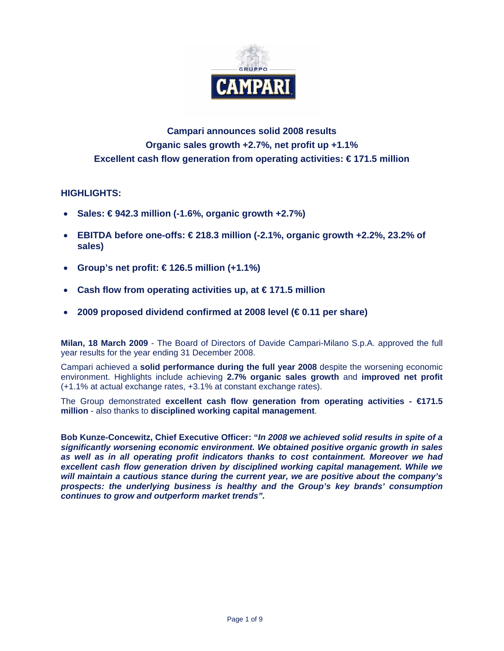

# **Campari announces solid 2008 results Organic sales growth +2.7%, net profit up +1.1% Excellent cash flow generation from operating activities: € 171.5 million**

## **HIGHLIGHTS:**

- **Sales: € 942.3 million (-1.6%, organic growth +2.7%)**
- **EBITDA before one-offs: € 218.3 million (-2.1%, organic growth +2.2%, 23.2% of sales)**
- **Group's net profit: € 126.5 million (+1.1%)**
- **Cash flow from operating activities up, at € 171.5 million**
- **2009 proposed dividend confirmed at 2008 level (€ 0.11 per share)**

**Milan, 18 March 2009** - The Board of Directors of Davide Campari-Milano S.p.A. approved the full year results for the year ending 31 December 2008.

Campari achieved a **solid performance during the full year 2008** despite the worsening economic environment. Highlights include achieving **2.7% organic sales growth** and **improved net profit**  (+1.1% at actual exchange rates, +3.1% at constant exchange rates).

The Group demonstrated **excellent cash flow generation from operating activities - €171.5 million** - also thanks to **disciplined working capital management**.

**Bob Kunze-Concewitz, Chief Executive Officer: "***In 2008 we achieved solid results in spite of a significantly worsening economic environment. We obtained positive organic growth in sales as well as in all operating profit indicators thanks to cost containment. Moreover we had excellent cash flow generation driven by disciplined working capital management. While we will maintain a cautious stance during the current year, we are positive about the company's prospects: the underlying business is healthy and the Group's key brands' consumption continues to grow and outperform market trends".*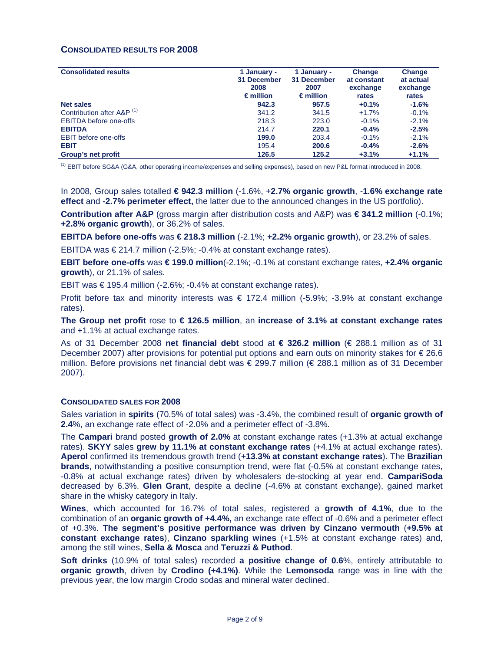### **CONSOLIDATED RESULTS FOR 2008**

| <b>Consolidated results</b>           | 1 January -<br>31 December<br>2008<br>$\epsilon$ million | 1 January -<br>31 December<br>2007<br>$\epsilon$ million | Change<br>at constant<br>exchange<br>rates | Change<br>at actual<br>exchange<br>rates |
|---------------------------------------|----------------------------------------------------------|----------------------------------------------------------|--------------------------------------------|------------------------------------------|
| <b>Net sales</b>                      | 942.3                                                    | 957.5                                                    | $+0.1%$                                    | $-1.6%$                                  |
| Contribution after A&P <sup>(1)</sup> | 341.2                                                    | 341.5                                                    | $+1.7%$                                    | $-0.1%$                                  |
| <b>EBITDA</b> before one-offs         | 218.3                                                    | 223.0                                                    | $-0.1%$                                    | $-2.1%$                                  |
| <b>EBITDA</b>                         | 214.7                                                    | 220.1                                                    | $-0.4%$                                    | $-2.5%$                                  |
| <b>EBIT</b> before one-offs           | 199.0                                                    | 203.4                                                    | $-0.1%$                                    | $-2.1%$                                  |
| <b>EBIT</b>                           | 195.4                                                    | 200.6                                                    | $-0.4%$                                    | $-2.6%$                                  |
| Group's net profit                    | 126.5                                                    | 125.2                                                    | $+3.1%$                                    | $+1.1%$                                  |

(1) EBIT before SG&A (G&A, other operating income/expenses and selling expenses), based on new P&L format introduced in 2008.

In 2008, Group sales totalled **€ 942.3 million** (-1.6%, +**2.7% organic growth**, -**1.6% exchange rate effect** and **-2.7% perimeter effect,** the latter due to the announced changes in the US portfolio).

**Contribution after A&P** (gross margin after distribution costs and A&P) was **€ 341.2 million** (-0.1%; **+2.8% organic growth**), or 36.2% of sales.

**EBITDA before one-offs** was **€ 218.3 million** (-2.1%; **+2.2% organic growth**), or 23.2% of sales.

EBITDA was €214.7 million (-2.5%; -0.4% at constant exchange rates).

**EBIT before one-offs** was **€ 199.0 million**(-2.1%; -0.1% at constant exchange rates, **+2.4% organic growth**), or 21.1% of sales.

EBIT was € 195.4 million (-2.6%; -0.4% at constant exchange rates).

Profit before tax and minority interests was  $\epsilon$  172.4 million (-5.9%; -3.9% at constant exchange rates).

**The Group net profit** rose to **€ 126.5 million**, an **increase of 3.1% at constant exchange rates** and +1.1% at actual exchange rates.

As of 31 December 2008 **net financial debt** stood at **€ 326.2 million** (€ 288.1 million as of 31 December 2007) after provisions for potential put options and earn outs on minority stakes for € 26.6 million. Before provisions net financial debt was € 299.7 million (€ 288.1 million as of 31 December 2007).

### **CONSOLIDATED SALES FOR 2008**

Sales variation in **spirits** (70.5% of total sales) was -3.4%, the combined result of **organic growth of 2.4**%, an exchange rate effect of -2.0% and a perimeter effect of -3.8%.

The **Campari** brand posted **growth of 2.0%** at constant exchange rates (+1.3% at actual exchange rates). **SKYY** sales **grew by 11.1% at constant exchange rates** (+4.1% at actual exchange rates). **Aperol** confirmed its tremendous growth trend (+**13.3% at constant exchange rates**). The **Brazilian brands**, notwithstanding a positive consumption trend, were flat (-0.5% at constant exchange rates, -0.8% at actual exchange rates) driven by wholesalers de-stocking at year end. **CampariSoda** decreased by 6.3%. **Glen Grant**, despite a decline (-4.6% at constant exchange), gained market share in the whisky category in Italy.

**Wines**, which accounted for 16.7% of total sales, registered a **growth of 4.1%**, due to the combination of an **organic growth of +4.4%,** an exchange rate effect of -0.6% and a perimeter effect of +0.3%. **The segment's positive performance was driven by Cinzano vermouth** (**+9.5% at constant exchange rates**), **Cinzano sparkling wines** (+1.5% at constant exchange rates) and, among the still wines, **Sella & Mosca** and **Teruzzi & Puthod**.

**Soft drinks** (10.9% of total sales) recorded **a positive change of 0.6**%, entirely attributable to **organic growth**, driven by **Crodino (+4.1%)**. While the **Lemonsoda** range was in line with the previous year, the low margin Crodo sodas and mineral water declined.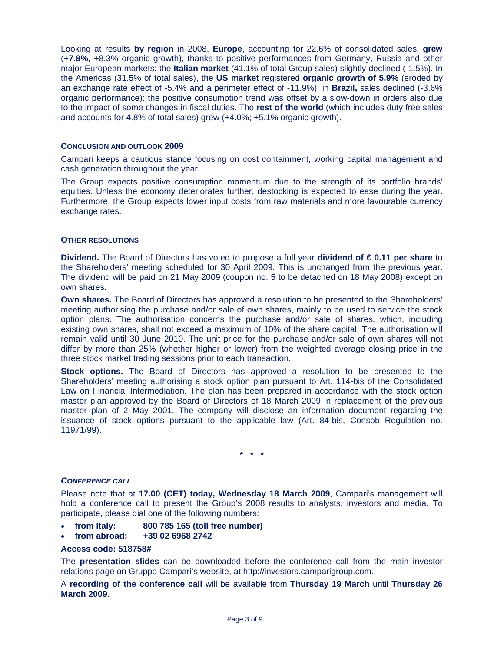Looking at results **by region** in 2008, **Europe**, accounting for 22.6% of consolidated sales, **grew**  (**+7.8%**, +8.3% organic growth), thanks to positive performances from Germany, Russia and other major European markets; the **Italian market** (41.1% of total Group sales) slightly declined (-1.5%). In the Americas (31.5% of total sales), the **US market** registered **organic growth of 5.9%** (eroded by an exchange rate effect of -5.4% and a perimeter effect of -11.9%); in **Brazil,** sales declined (-3.6% organic performance): the positive consumption trend was offset by a slow-down in orders also due to the impact of some changes in fiscal duties. The **rest of the world** (which includes duty free sales and accounts for 4.8% of total sales) grew (+4.0%; +5.1% organic growth).

### **CONCLUSION AND OUTLOOK 2009**

Campari keeps a cautious stance focusing on cost containment, working capital management and cash generation throughout the year.

The Group expects positive consumption momentum due to the strength of its portfolio brands' equities. Unless the economy deteriorates further, destocking is expected to ease during the year. Furthermore, the Group expects lower input costs from raw materials and more favourable currency exchange rates.

### **OTHER RESOLUTIONS**

**Dividend.** The Board of Directors has voted to propose a full year **dividend of € 0.11 per share** to the Shareholders' meeting scheduled for 30 April 2009. This is unchanged from the previous year. The dividend will be paid on 21 May 2009 (coupon no. 5 to be detached on 18 May 2008) except on own shares.

**Own shares.** The Board of Directors has approved a resolution to be presented to the Shareholders' meeting authorising the purchase and/or sale of own shares, mainly to be used to service the stock option plans. The authorisation concerns the purchase and/or sale of shares, which, including existing own shares, shall not exceed a maximum of 10% of the share capital. The authorisation will remain valid until 30 June 2010. The unit price for the purchase and/or sale of own shares will not differ by more than 25% (whether higher or lower) from the weighted average closing price in the three stock market trading sessions prior to each transaction.

**Stock options.** The Board of Directors has approved a resolution to be presented to the Shareholders' meeting authorising a stock option plan pursuant to Art. 114-bis of the Consolidated Law on Financial Intermediation. The plan has been prepared in accordance with the stock option master plan approved by the Board of Directors of 18 March 2009 in replacement of the previous master plan of 2 May 2001. The company will disclose an information document regarding the issuance of stock options pursuant to the applicable law (Art. 84-bis, Consob Regulation no. 11971/99).

\* \* \*

#### *CONFERENCE CALL*

Please note that at **17.00 (CET) today, Wednesday 18 March 2009**, Campari's management will hold a conference call to present the Group's 2008 results to analysts, investors and media. To participate, please dial one of the following numbers:

- **from Italy: 800 785 165 (toll free number)**
- **from abroad: +39 02 6968 2742**

#### **Access code: 518758#**

The **presentation slides** can be downloaded before the conference call from the main investor relations page on Gruppo Campari's website, at http://investors.camparigroup.com.

A **recording of the conference call** will be available from **Thursday 19 March** until **Thursday 26 March 2009**.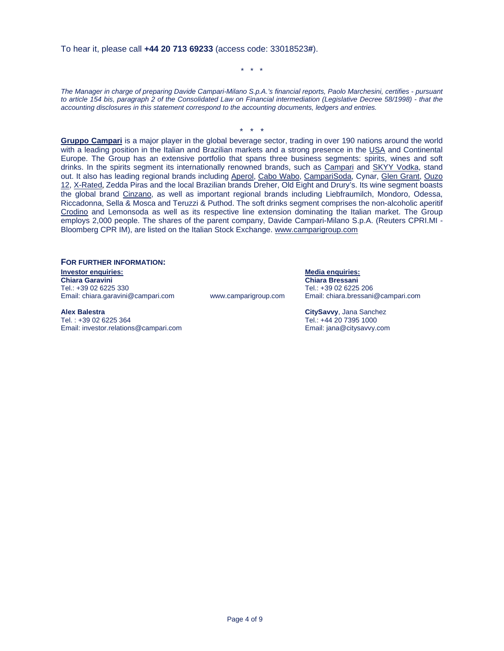To hear it, please call **+44 20 713 69233** (access code: 33018523**#**).

\* \* \*

*The Manager in charge of preparing Davide Campari-Milano S.p.A.'s financial reports, Paolo Marchesini, certifies - pursuant to article 154 bis, paragraph 2 of the Consolidated Law on Financial intermediation (Legislative Decree 58/1998) - that the accounting disclosures in this statement correspond to the accounting documents, ledgers and entries.* 

\* \* \*

**Gruppo Campari** is a major player in the global beverage sector, trading in over 190 nations around the world with a leading position in the Italian and Brazilian markets and a strong presence in the USA and Continental Europe. The Group has an extensive portfolio that spans three business segments: spirits, wines and soft drinks. In the spirits segment its internationally renowned brands, such as Campari and SKYY Vodka, stand out. It also has leading regional brands including Aperol, Cabo Wabo, CampariSoda, Cynar, Glen Grant, Ouzo 12, X-Rated, Zedda Piras and the local Brazilian brands Dreher, Old Eight and Drury's. Its wine segment boasts the global brand Cinzano, as well as important regional brands including Liebfraumilch, Mondoro, Odessa, Riccadonna, Sella & Mosca and Teruzzi & Puthod. The soft drinks segment comprises the non-alcoholic aperitif Crodino and Lemonsoda as well as its respective line extension dominating the Italian market. The Group employs 2,000 people. The shares of the parent company, Davide Campari-Milano S.p.A. (Reuters CPRI.MI - Bloomberg CPR IM), are listed on the Italian Stock Exchange. www.camparigroup.com

### **FOR FURTHER INFORMATION:**

**Investor enquiries: Media enquiries:** Tel.: +39 02 6225 330 Tel.: +39 02 6225 206

**Alex Balestra CitySavvy**, Jana Sanchez

Email: investor.relations@campari.com

**Chiara Bressani** www.camparigroup.com Email: chiara.bressani@campari.com

Tel.: +44 20 7395 1000<br>Email: jana@citysavvy.com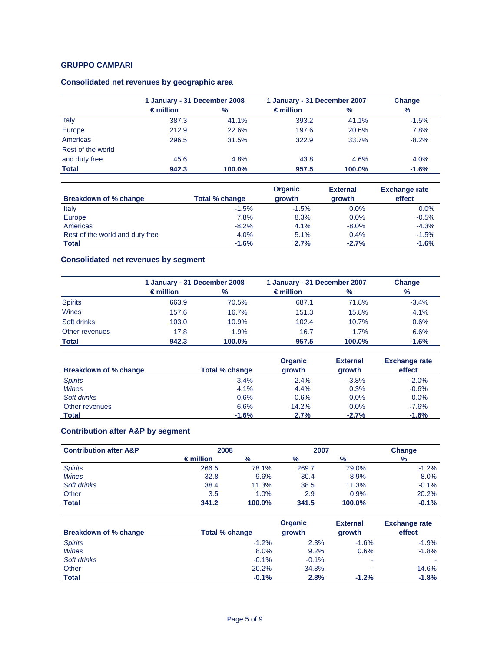## **GRUPPO CAMPARI**

## **Consolidated net revenues by geographic area**

|                   |                    | 1 January - 31 December 2008 |                    | 1 January - 31 December 2007 | Change  |
|-------------------|--------------------|------------------------------|--------------------|------------------------------|---------|
|                   | $\epsilon$ million | %                            | $\epsilon$ million | %                            | %       |
| Italy             | 387.3              | 41.1%                        | 393.2              | 41.1%                        | $-1.5%$ |
| Europe            | 212.9              | 22.6%                        | 197.6              | 20.6%                        | 7.8%    |
| Americas          | 296.5              | 31.5%                        | 322.9              | 33.7%                        | $-8.2%$ |
| Rest of the world |                    |                              |                    |                              |         |
| and duty free     | 45.6               | 4.8%                         | 43.8               | 4.6%                         | 4.0%    |
| <b>Total</b>      | 942.3              | 100.0%                       | 957.5              | 100.0%                       | $-1.6%$ |

|                                 |                | <b>Organic</b> | <b>External</b> | <b>Exchange rate</b> |
|---------------------------------|----------------|----------------|-----------------|----------------------|
| Breakdown of % change           | Total % change | growth         | growth          | effect               |
| Italy                           | $-1.5%$        | $-1.5%$        | $0.0\%$         | 0.0%                 |
| Europe                          | 7.8%           | 8.3%           | $0.0\%$         | $-0.5%$              |
| Americas                        | $-8.2%$        | 4.1%           | $-8.0\%$        | $-4.3%$              |
| Rest of the world and duty free | 4.0%           | 5.1%           | 0.4%            | $-1.5%$              |
| <b>Total</b>                    | $-1.6%$        | 2.7%           | $-2.7%$         | $-1.6%$              |

# **Consolidated net revenues by segment**

|                |                    | 1 January - 31 December 2008 |                    | 1 January - 31 December 2007 | Change  |
|----------------|--------------------|------------------------------|--------------------|------------------------------|---------|
|                | $\epsilon$ million | $\%$                         | $\epsilon$ million | %                            | $\%$    |
| <b>Spirits</b> | 663.9              | 70.5%                        | 687.1              | 71.8%                        | $-3.4%$ |
| Wines          | 157.6              | 16.7%                        | 151.3              | 15.8%                        | 4.1%    |
| Soft drinks    | 103.0              | 10.9%                        | 102.4              | 10.7%                        | 0.6%    |
| Other revenues | 17.8               | 1.9%                         | 16.7               | 1.7%                         | 6.6%    |
| <b>Total</b>   | 942.3              | 100.0%                       | 957.5              | 100.0%                       | $-1.6%$ |

|                       |                | Organic | <b>External</b> | <b>Exchange rate</b> |
|-----------------------|----------------|---------|-----------------|----------------------|
| Breakdown of % change | Total % change | growth  | growth          | effect               |
| <b>Spirits</b>        | $-3.4%$        | 2.4%    | $-3.8%$         | $-2.0%$              |
| Wines                 | 4.1%           | 4.4%    | 0.3%            | $-0.6%$              |
| Soft drinks           | 0.6%           | 0.6%    | 0.0%            | $0.0\%$              |
| Other revenues        | 6.6%           | 14.2%   | 0.0%            | $-7.6%$              |
| Total                 | $-1.6%$        | 2.7%    | $-2.7%$         | $-1.6%$              |

# **Contribution after A&P by segment**

| <b>Contribution after A&amp;P</b> |                    | 2008          |               | 2007   | Change  |
|-----------------------------------|--------------------|---------------|---------------|--------|---------|
|                                   | $\epsilon$ million | $\frac{9}{6}$ | $\frac{9}{6}$ | $\%$   | $\%$    |
| <b>Spirits</b>                    | 266.5              | 78.1%         | 269.7         | 79.0%  | $-1.2%$ |
| <b>Wines</b>                      | 32.8               | 9.6%          | 30.4          | 8.9%   | 8.0%    |
| Soft drinks                       | 38.4               | 11.3%         | 38.5          | 11.3%  | $-0.1%$ |
| Other                             | 3.5                | 1.0%          | 2.9           | 0.9%   | 20.2%   |
| <b>Total</b>                      | 341.2              | 100.0%        | 341.5         | 100.0% | $-0.1%$ |

| Breakdown of % change | Total % change | Organic<br>growth | <b>External</b><br>growth | <b>Exchange rate</b><br>effect |
|-----------------------|----------------|-------------------|---------------------------|--------------------------------|
| <b>Spirits</b>        | $-1.2%$        | 2.3%              | $-1.6%$                   | $-1.9%$                        |
| <b>Wines</b>          | 8.0%           | 9.2%              | 0.6%                      | $-1.8%$                        |
| Soft drinks           | $-0.1%$        | $-0.1%$           | ۰                         |                                |
| Other                 | 20.2%          | 34.8%             | -                         | $-14.6%$                       |
| <b>Total</b>          | $-0.1%$        | 2.8%              | $-1.2%$                   | $-1.8%$                        |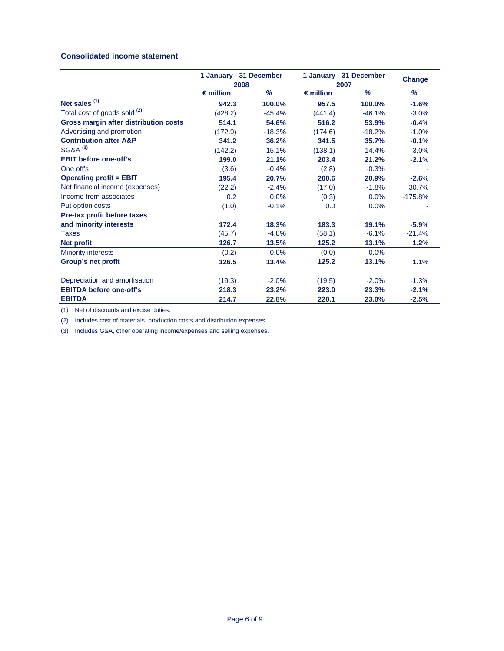### **Consolidated income statement**

|                                         | 1 January - 31 December<br>2008 |          | 1 January - 31 December |          | Change    |
|-----------------------------------------|---------------------------------|----------|-------------------------|----------|-----------|
|                                         |                                 |          | 2007                    |          |           |
|                                         | $\epsilon$ million              | %        | $\epsilon$ million      | %        | %         |
| Net sales $(1)$                         | 942.3                           | 100.0%   | 957.5                   | 100.0%   | $-1.6%$   |
| Total cost of goods sold <sup>(2)</sup> | (428.2)                         | $-45.4%$ | (441.4)                 | $-46.1%$ | $-3.0%$   |
| Gross margin after distribution costs   | 514.1                           | 54.6%    | 516.2                   | 53.9%    | $-0.4%$   |
| Advertising and promotion               | (172.9)                         | $-18.3%$ | (174.6)                 | $-18.2%$ | $-1.0%$   |
| <b>Contribution after A&amp;P</b>       | 341.2                           | 36.2%    | 341.5                   | 35.7%    | $-0.1%$   |
| SG&A <sup>(3)</sup>                     | (142.2)                         | $-15.1%$ | (138.1)                 | $-14.4%$ | 3.0%      |
| <b>EBIT before one-off's</b>            | 199.0                           | 21.1%    | 203.4                   | 21.2%    | $-2.1%$   |
| One off's                               | (3.6)                           | $-0.4%$  | (2.8)                   | $-0.3%$  |           |
| <b>Operating profit = EBIT</b>          | 195.4                           | 20.7%    | 200.6                   | 20.9%    | $-2.6%$   |
| Net financial income (expenses)         | (22.2)                          | $-2.4%$  | (17.0)                  | $-1.8%$  | 30.7%     |
| Income from associates                  | 0.2                             | 0.0%     | (0.3)                   | 0.0%     | $-175.8%$ |
| Put option costs                        | (1.0)                           | $-0.1%$  | 0.0                     | 0.0%     |           |
| Pre-tax profit before taxes             |                                 |          |                         |          |           |
| and minority interests                  | 172.4                           | 18.3%    | 183.3                   | 19.1%    | $-5.9%$   |
| Taxes                                   | (45.7)                          | $-4.8%$  | (58.1)                  | $-6.1%$  | $-21.4%$  |
| Net profit                              | 126.7                           | 13.5%    | 125.2                   | 13.1%    | 1.2%      |
| <b>Minority interests</b>               | (0.2)                           | $-0.0%$  | (0.0)                   | 0.0%     |           |
| Group's net profit                      | 126.5                           | 13.4%    | 125.2                   | 13.1%    | 1.1%      |
| Depreciation and amortisation           | (19.3)                          | $-2.0%$  | (19.5)                  | $-2.0%$  | $-1.3%$   |
| <b>EBITDA before one-off's</b>          | 218.3                           | 23.2%    | 223.0                   | 23.3%    | $-2.1%$   |
| <b>EBITDA</b>                           | 214.7                           | 22.8%    | 220.1                   | 23.0%    | $-2.5%$   |

(1) Net of discounts and excise duties.

(2) Includes cost of materials. production costs and distribution expenses.

(3) Includes G&A, other operating income/expenses and selling expenses.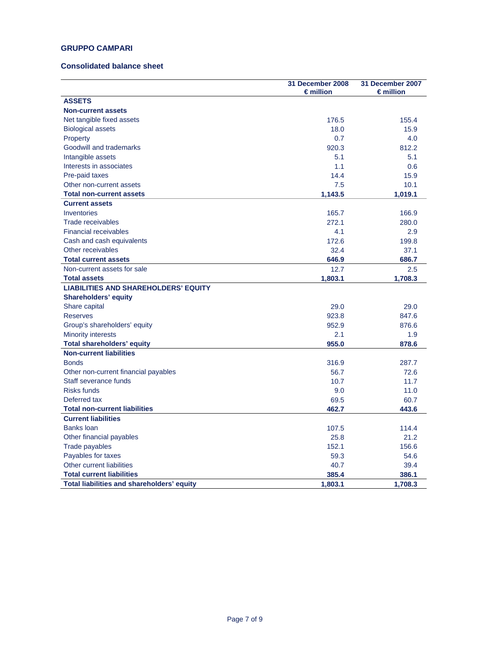### **GRUPPO CAMPARI**

### **Consolidated balance sheet**

|                                             | 31 December 2008<br>$\epsilon$ million | 31 December 2007<br>$\epsilon$ million |
|---------------------------------------------|----------------------------------------|----------------------------------------|
| <b>ASSETS</b>                               |                                        |                                        |
| <b>Non-current assets</b>                   |                                        |                                        |
| Net tangible fixed assets                   | 176.5                                  | 155.4                                  |
| <b>Biological assets</b>                    | 18.0                                   | 15.9                                   |
| Property                                    | 0.7                                    | 4.0                                    |
| Goodwill and trademarks                     | 920.3                                  | 812.2                                  |
| Intangible assets                           | 5.1                                    | 5.1                                    |
| Interests in associates                     | 1.1                                    | 0.6                                    |
| Pre-paid taxes                              | 14.4                                   | 15.9                                   |
| Other non-current assets                    | 7.5                                    | 10.1                                   |
| <b>Total non-current assets</b>             | 1,143.5                                | 1,019.1                                |
| <b>Current assets</b>                       |                                        |                                        |
| Inventories                                 | 165.7                                  | 166.9                                  |
| <b>Trade receivables</b>                    | 272.1                                  | 280.0                                  |
| <b>Financial receivables</b>                | 4.1                                    | 2.9                                    |
| Cash and cash equivalents                   | 172.6                                  | 199.8                                  |
| Other receivables                           | 32.4                                   | 37.1                                   |
| <b>Total current assets</b>                 | 646.9                                  | 686.7                                  |
| Non-current assets for sale                 | 12.7                                   | 2.5                                    |
| <b>Total assets</b>                         | 1,803.1                                | 1,708.3                                |
| <b>LIABILITIES AND SHAREHOLDERS' EQUITY</b> |                                        |                                        |
| <b>Shareholders' equity</b>                 |                                        |                                        |
| Share capital                               | 29.0                                   | 29.0                                   |
| <b>Reserves</b>                             | 923.8                                  | 847.6                                  |
| Group's shareholders' equity                | 952.9                                  | 876.6                                  |
| <b>Minority interests</b>                   | 2.1                                    | 1.9                                    |
| <b>Total shareholders' equity</b>           | 955.0                                  | 878.6                                  |
| <b>Non-current liabilities</b>              |                                        |                                        |
| <b>Bonds</b>                                | 316.9                                  | 287.7                                  |
| Other non-current financial payables        | 56.7                                   | 72.6                                   |
| Staff severance funds                       | 10.7                                   | 11.7                                   |
| <b>Risks funds</b>                          | 9.0                                    | 11.0                                   |
| Deferred tax                                | 69.5                                   | 60.7                                   |
| <b>Total non-current liabilities</b>        | 462.7                                  | 443.6                                  |
| <b>Current liabilities</b>                  |                                        |                                        |
| <b>Banks loan</b>                           | 107.5                                  | 114.4                                  |
| Other financial payables                    | 25.8                                   | 21.2                                   |
| Trade payables                              | 152.1                                  | 156.6                                  |
| Payables for taxes                          | 59.3                                   | 54.6                                   |
| Other current liabilities                   | 40.7                                   | 39.4                                   |
| <b>Total current liabilities</b>            | 385.4                                  | 386.1                                  |
| Total liabilities and shareholders' equity  | 1.803.1                                | 1.708.3                                |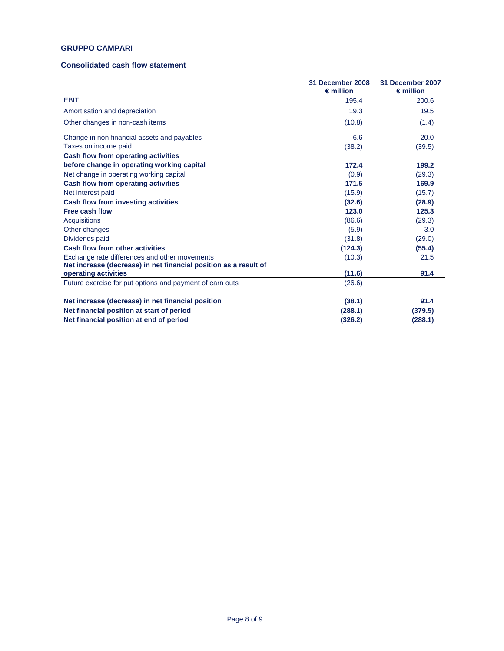### **GRUPPO CAMPARI**

### **Consolidated cash flow statement**

|                                                                  | 31 December 2008<br>$\epsilon$ million | 31 December 2007<br>$\epsilon$ million |
|------------------------------------------------------------------|----------------------------------------|----------------------------------------|
| <b>EBIT</b>                                                      | 195.4                                  | 200.6                                  |
| Amortisation and depreciation                                    | 19.3                                   | 19.5                                   |
| Other changes in non-cash items                                  | (10.8)                                 | (1.4)                                  |
| Change in non financial assets and payables                      | 6.6                                    | 20.0                                   |
| Taxes on income paid                                             | (38.2)                                 | (39.5)                                 |
| Cash flow from operating activities                              |                                        |                                        |
| before change in operating working capital                       | 172.4                                  | 199.2                                  |
| Net change in operating working capital                          | (0.9)                                  | (29.3)                                 |
| Cash flow from operating activities                              | 171.5                                  | 169.9                                  |
| Net interest paid                                                | (15.9)                                 | (15.7)                                 |
| Cash flow from investing activities                              | (32.6)                                 | (28.9)                                 |
| Free cash flow                                                   | 123.0                                  | 125.3                                  |
| Acquisitions                                                     | (86.6)                                 | (29.3)                                 |
| Other changes                                                    | (5.9)                                  | 3.0                                    |
| Dividends paid                                                   | (31.8)                                 | (29.0)                                 |
| <b>Cash flow from other activities</b>                           | (124.3)                                | (55.4)                                 |
| Exchange rate differences and other movements                    | (10.3)                                 | 21.5                                   |
| Net increase (decrease) in net financial position as a result of |                                        |                                        |
| operating activities                                             | (11.6)                                 | 91.4                                   |
| Future exercise for put options and payment of earn outs         | (26.6)                                 |                                        |
| Net increase (decrease) in net financial position                | (38.1)                                 | 91.4                                   |
| Net financial position at start of period                        | (288.1)                                | (379.5)                                |
| Net financial position at end of period                          | (326.2)                                | (288.1)                                |